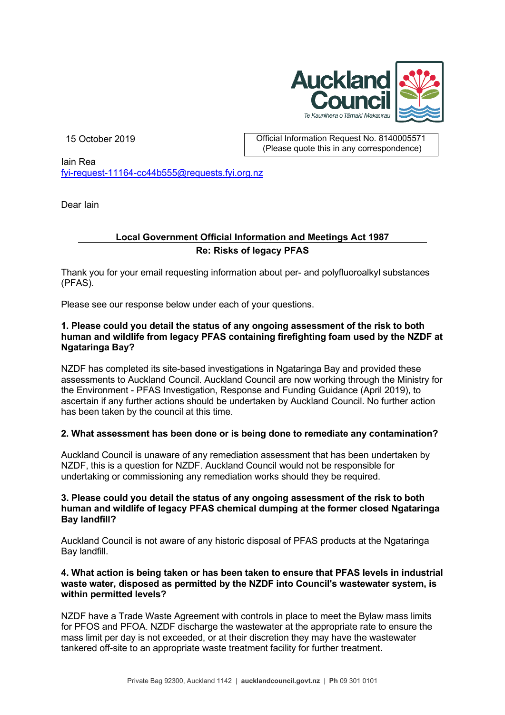

15 October 2019 Official Information Request No. 8140005571 (Please quote this in any correspondence)

Iain Rea [fyi-request-11164-cc44b555@requests.fyi.org.nz](mailto:xxxxxxxxxxxxxxxxxxxxxxxxxx@xxxxxxxx.xxx.xxx.xx)

Dear Iain

# **Local Government Official Information and Meetings Act 1987 Re: Risks of legacy PFAS**

Thank you for your email requesting information about per- and polyfluoroalkyl substances (PFAS).

Please see our response below under each of your questions.

## **1. Please could you detail the status of any ongoing assessment of the risk to both human and wildlife from legacy PFAS containing firefighting foam used by the NZDF at Ngataringa Bay?**

NZDF has completed its site-based investigations in Ngataringa Bay and provided these assessments to Auckland Council. Auckland Council are now working through the Ministry for the Environment - PFAS Investigation, Response and Funding Guidance (April 2019), to ascertain if any further actions should be undertaken by Auckland Council. No further action has been taken by the council at this time.

## **2. What assessment has been done or is being done to remediate any contamination?**

Auckland Council is unaware of any remediation assessment that has been undertaken by NZDF, this is a question for NZDF. Auckland Council would not be responsible for undertaking or commissioning any remediation works should they be required.

### **3. Please could you detail the status of any ongoing assessment of the risk to both human and wildlife of legacy PFAS chemical dumping at the former closed Ngataringa Bay landfill?**

Auckland Council is not aware of any historic disposal of PFAS products at the Ngataringa Bay landfill.

### **4. What action is being taken or has been taken to ensure that PFAS levels in industrial waste water, disposed as permitted by the NZDF into Council's wastewater system, is within permitted levels?**

NZDF have a Trade Waste Agreement with controls in place to meet the Bylaw mass limits for PFOS and PFOA. NZDF discharge the wastewater at the appropriate rate to ensure the mass limit per day is not exceeded, or at their discretion they may have the wastewater tankered off-site to an appropriate waste treatment facility for further treatment.